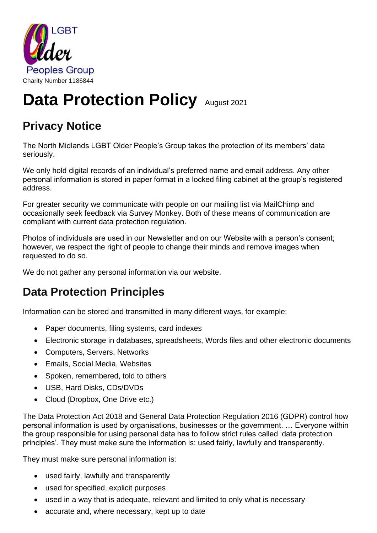

# **Data Protection Policy August 2021**

## **Privacy Notice**

The North Midlands LGBT Older People's Group takes the protection of its members' data seriously.

We only hold digital records of an individual's preferred name and email address. Any other personal information is stored in paper format in a locked filing cabinet at the group's registered address.

For greater security we communicate with people on our mailing list via MailChimp and occasionally seek feedback via Survey Monkey. Both of these means of communication are compliant with current data protection regulation.

Photos of individuals are used in our Newsletter and on our Website with a person's consent; however, we respect the right of people to change their minds and remove images when requested to do so.

We do not gather any personal information via our website.

## **Data Protection Principles**

Information can be stored and transmitted in many different ways, for example:

- Paper documents, filing systems, card indexes
- Electronic storage in databases, spreadsheets, Words files and other electronic documents
- Computers, Servers, Networks
- Emails, Social Media, Websites
- Spoken, remembered, told to others
- USB, Hard Disks, CDs/DVDs
- Cloud (Dropbox, One Drive etc.)

The Data Protection Act 2018 and General Data Protection Regulation 2016 (GDPR) control how personal information is used by organisations, businesses or the government. … Everyone within the group responsible for using personal data has to follow strict rules called 'data protection principles'. They must make sure the information is: used fairly, lawfully and transparently.

They must make sure personal information is:

- used fairly, lawfully and transparently
- used for specified, explicit purposes
- used in a way that is adequate, relevant and limited to only what is necessary
- accurate and, where necessary, kept up to date